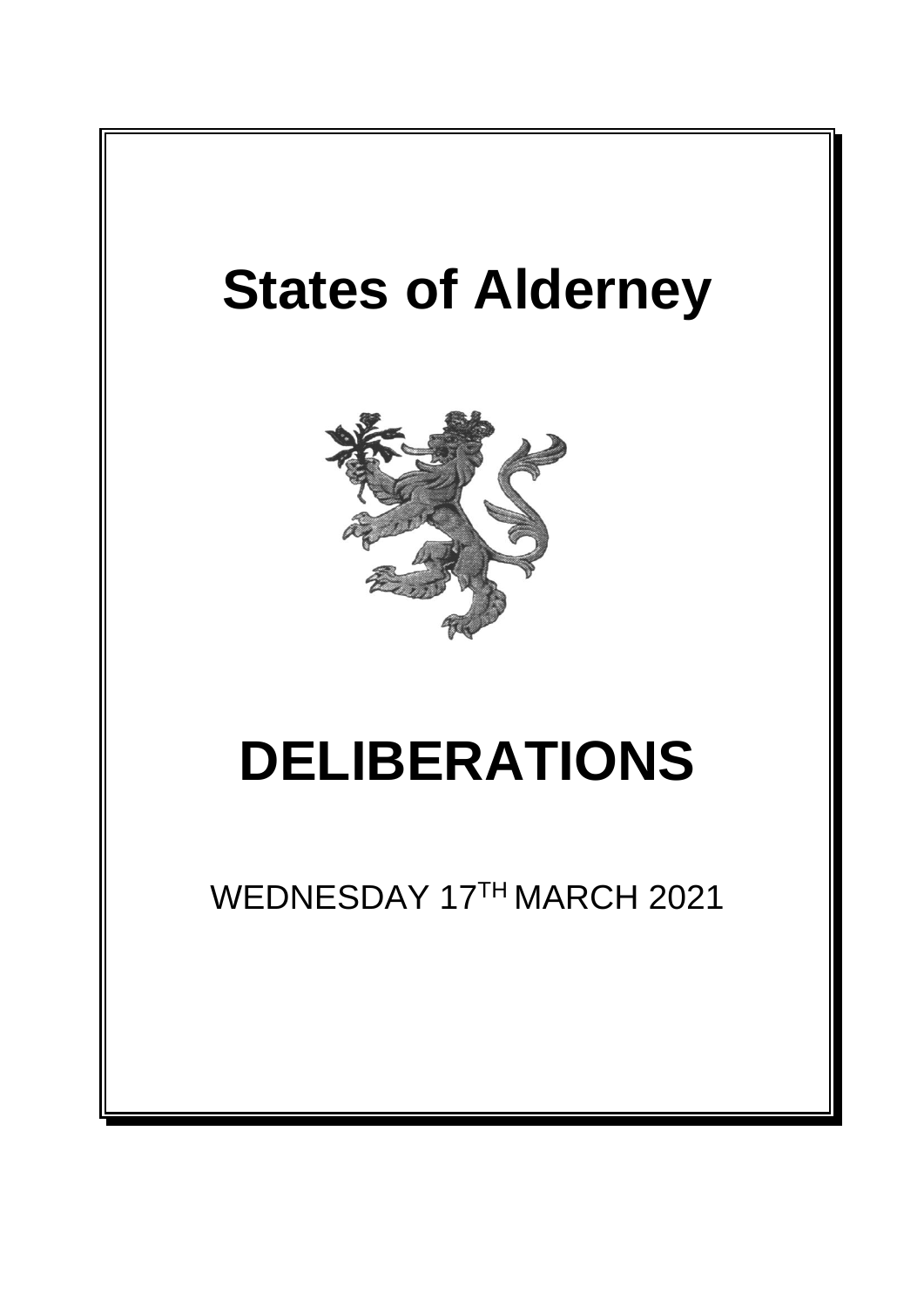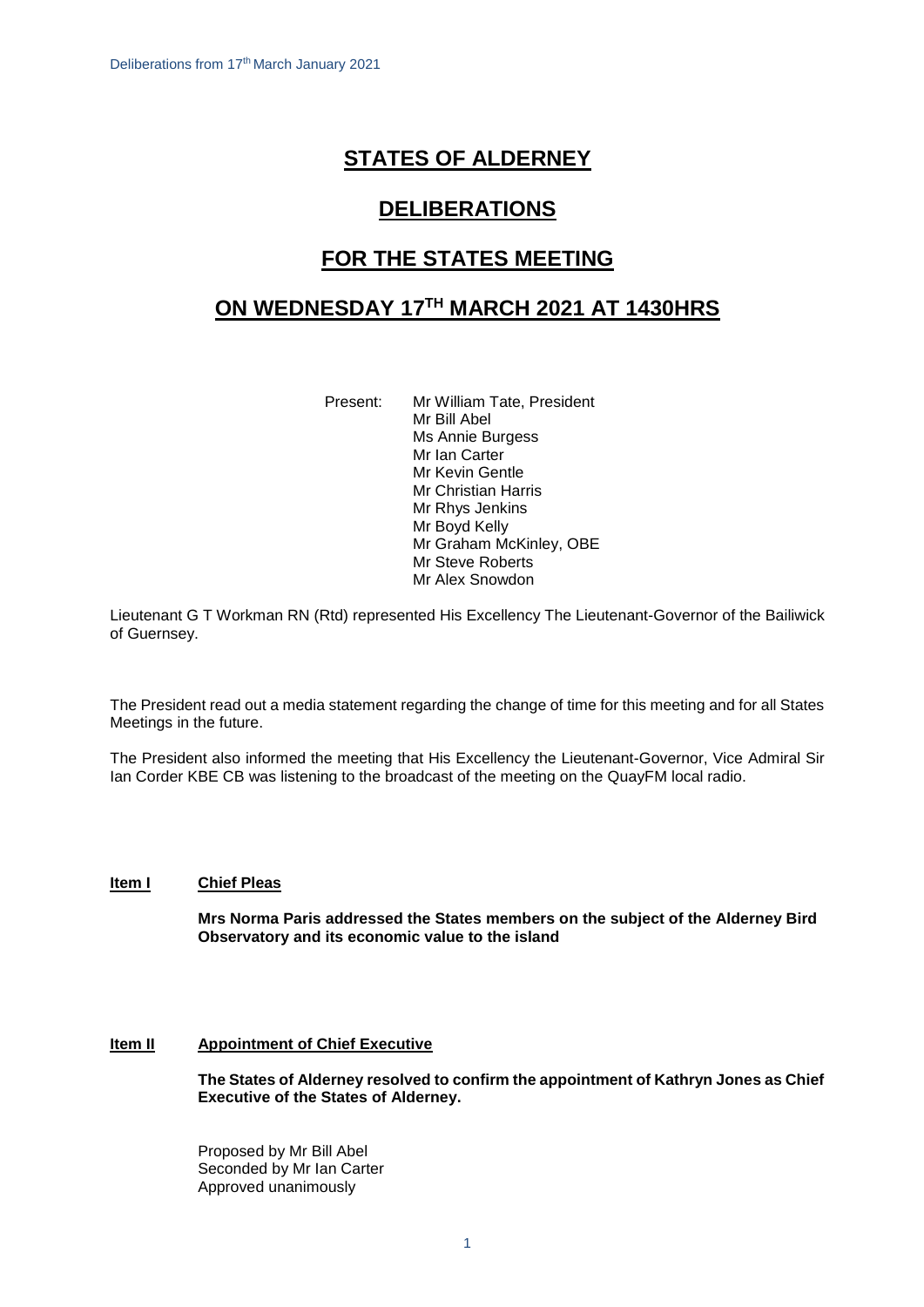# **STATES OF ALDERNEY**

## **DELIBERATIONS**

## **FOR THE STATES MEETING**

## **ON WEDNESDAY 17 TH MARCH 2021 AT 1430HRS**

Present: Mr William Tate, President Mr Bill Abel Ms Annie Burgess Mr Ian Carter Mr Kevin Gentle Mr Christian Harris Mr Rhys Jenkins Mr Boyd Kelly Mr Graham McKinley, OBE Mr Steve Roberts Mr Alex Snowdon

Lieutenant G T Workman RN (Rtd) represented His Excellency The Lieutenant-Governor of the Bailiwick of Guernsey.

The President read out a media statement regarding the change of time for this meeting and for all States Meetings in the future.

The President also informed the meeting that His Excellency the Lieutenant-Governor, Vice Admiral Sir Ian Corder KBE CB was listening to the broadcast of the meeting on the QuayFM local radio.

## **Item I Chief Pleas**

**Mrs Norma Paris addressed the States members on the subject of the Alderney Bird Observatory and its economic value to the island**

## **Item II Appointment of Chief Executive**

**The States of Alderney resolved to confirm the appointment of Kathryn Jones as Chief Executive of the States of Alderney.**

Proposed by Mr Bill Abel Seconded by Mr Ian Carter Approved unanimously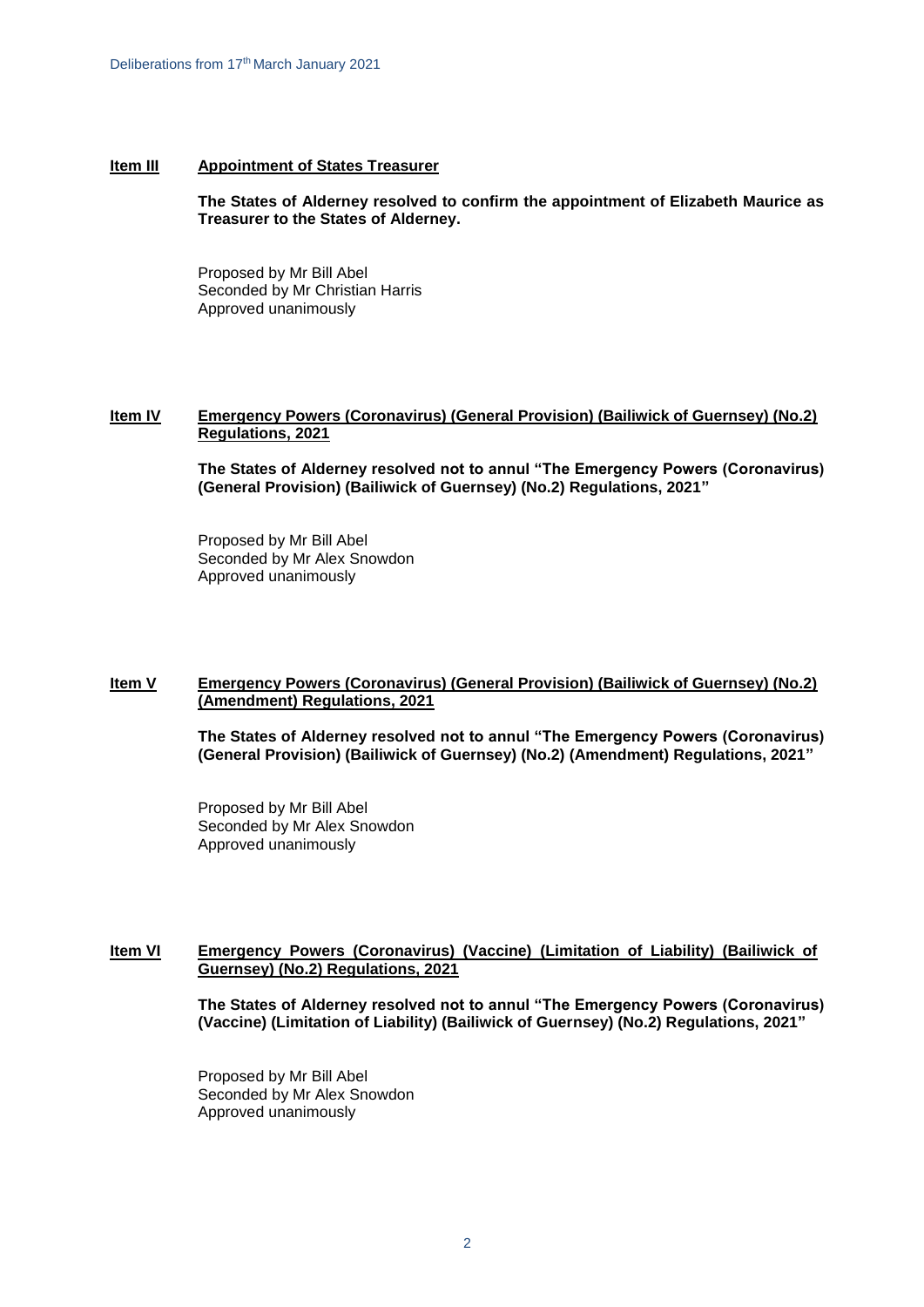#### **Item III Appointment of States Treasurer**

**The States of Alderney resolved to confirm the appointment of Elizabeth Maurice as Treasurer to the States of Alderney.** 

Proposed by Mr Bill Abel Seconded by Mr Christian Harris Approved unanimously

#### **Item IV Emergency Powers (Coronavirus) (General Provision) (Bailiwick of Guernsey) (No.2) Regulations, 2021**

**The States of Alderney resolved not to annul "The Emergency Powers (Coronavirus) (General Provision) (Bailiwick of Guernsey) (No.2) Regulations, 2021"**

Proposed by Mr Bill Abel Seconded by Mr Alex Snowdon Approved unanimously

#### **Item V Emergency Powers (Coronavirus) (General Provision) (Bailiwick of Guernsey) (No.2) (Amendment) Regulations, 2021**

**The States of Alderney resolved not to annul "The Emergency Powers (Coronavirus) (General Provision) (Bailiwick of Guernsey) (No.2) (Amendment) Regulations, 2021"**

Proposed by Mr Bill Abel Seconded by Mr Alex Snowdon Approved unanimously

#### **Item VI Emergency Powers (Coronavirus) (Vaccine) (Limitation of Liability) (Bailiwick of Guernsey) (No.2) Regulations, 2021**

**The States of Alderney resolved not to annul "The Emergency Powers (Coronavirus) (Vaccine) (Limitation of Liability) (Bailiwick of Guernsey) (No.2) Regulations, 2021"**

Proposed by Mr Bill Abel Seconded by Mr Alex Snowdon Approved unanimously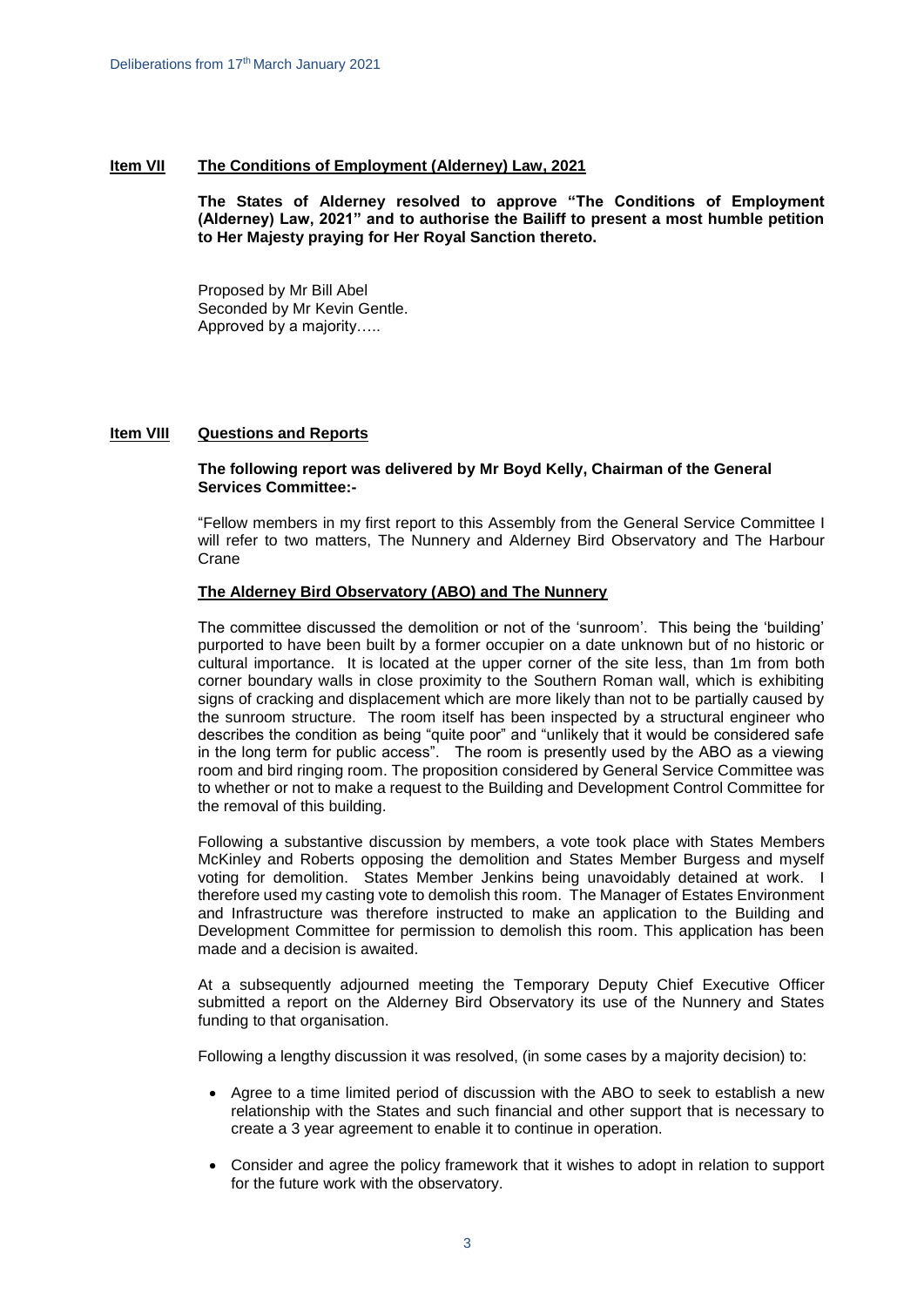#### **Item VII The Conditions of Employment (Alderney) Law, 2021**

**The States of Alderney resolved to approve "The Conditions of Employment (Alderney) Law, 2021" and to authorise the Bailiff to present a most humble petition to Her Majesty praying for Her Royal Sanction thereto.**

Proposed by Mr Bill Abel Seconded by Mr Kevin Gentle. Approved by a majority…..

#### **Item VIII Questions and Reports**

#### **The following report was delivered by Mr Boyd Kelly, Chairman of the General Services Committee:-**

"Fellow members in my first report to this Assembly from the General Service Committee I will refer to two matters, The Nunnery and Alderney Bird Observatory and The Harbour Crane

#### **The Alderney Bird Observatory (ABO) and The Nunnery**

The committee discussed the demolition or not of the 'sunroom'. This being the 'building' purported to have been built by a former occupier on a date unknown but of no historic or cultural importance. It is located at the upper corner of the site less, than 1m from both corner boundary walls in close proximity to the Southern Roman wall, which is exhibiting signs of cracking and displacement which are more likely than not to be partially caused by the sunroom structure. The room itself has been inspected by a structural engineer who describes the condition as being "quite poor" and "unlikely that it would be considered safe in the long term for public access". The room is presently used by the ABO as a viewing room and bird ringing room. The proposition considered by General Service Committee was to whether or not to make a request to the Building and Development Control Committee for the removal of this building.

Following a substantive discussion by members, a vote took place with States Members McKinley and Roberts opposing the demolition and States Member Burgess and myself voting for demolition. States Member Jenkins being unavoidably detained at work. I therefore used my casting vote to demolish this room. The Manager of Estates Environment and Infrastructure was therefore instructed to make an application to the Building and Development Committee for permission to demolish this room. This application has been made and a decision is awaited.

At a subsequently adjourned meeting the Temporary Deputy Chief Executive Officer submitted a report on the Alderney Bird Observatory its use of the Nunnery and States funding to that organisation.

Following a lengthy discussion it was resolved, (in some cases by a majority decision) to:

- Agree to a time limited period of discussion with the ABO to seek to establish a new relationship with the States and such financial and other support that is necessary to create a 3 year agreement to enable it to continue in operation.
- Consider and agree the policy framework that it wishes to adopt in relation to support for the future work with the observatory.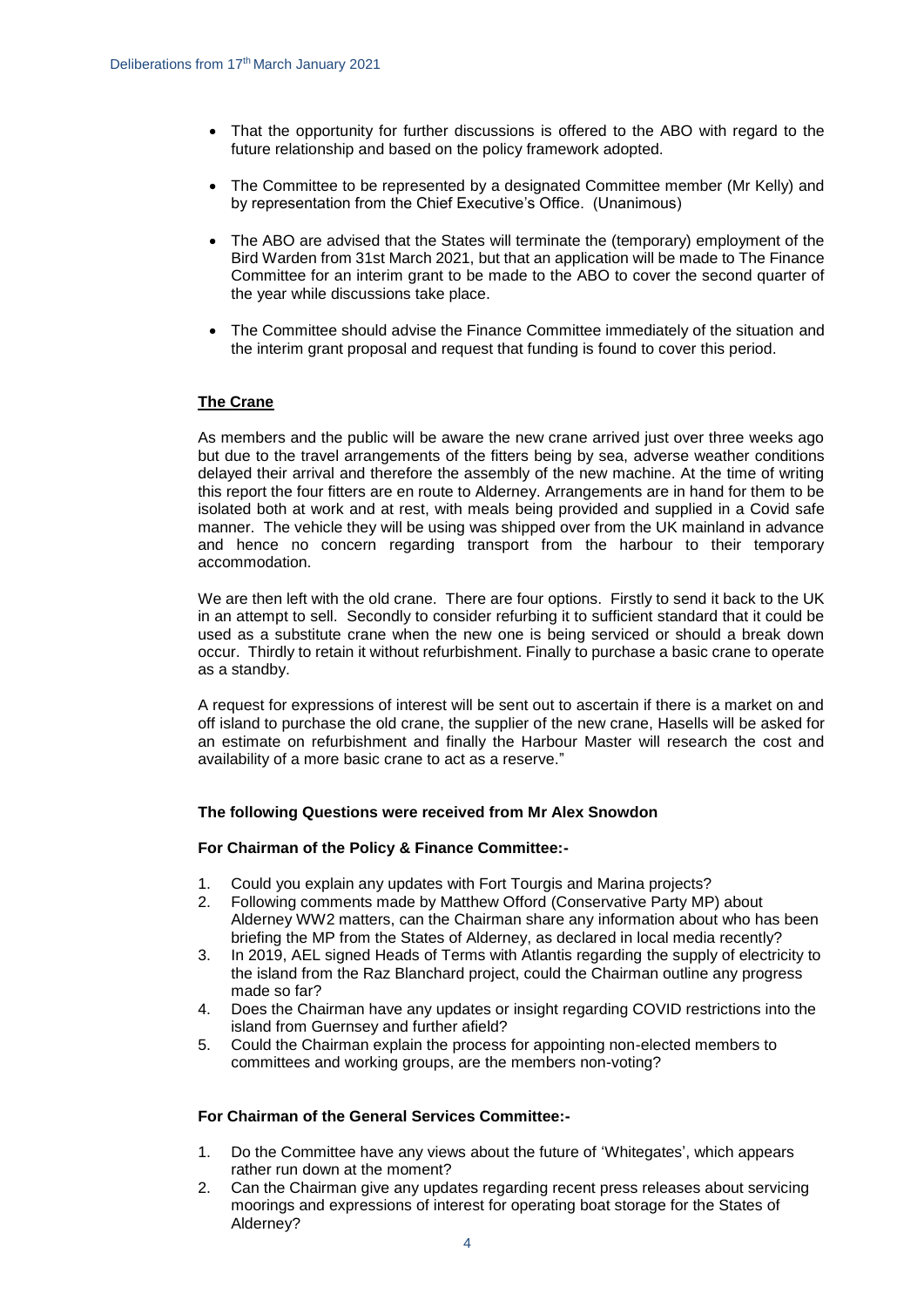- That the opportunity for further discussions is offered to the ABO with regard to the future relationship and based on the policy framework adopted.
- The Committee to be represented by a designated Committee member (Mr Kelly) and by representation from the Chief Executive's Office. (Unanimous)
- The ABO are advised that the States will terminate the (temporary) employment of the Bird Warden from 31st March 2021, but that an application will be made to The Finance Committee for an interim grant to be made to the ABO to cover the second quarter of the year while discussions take place.
- The Committee should advise the Finance Committee immediately of the situation and the interim grant proposal and request that funding is found to cover this period.

### **The Crane**

As members and the public will be aware the new crane arrived just over three weeks ago but due to the travel arrangements of the fitters being by sea, adverse weather conditions delayed their arrival and therefore the assembly of the new machine. At the time of writing this report the four fitters are en route to Alderney. Arrangements are in hand for them to be isolated both at work and at rest, with meals being provided and supplied in a Covid safe manner. The vehicle they will be using was shipped over from the UK mainland in advance and hence no concern regarding transport from the harbour to their temporary accommodation.

We are then left with the old crane. There are four options. Firstly to send it back to the UK in an attempt to sell. Secondly to consider refurbing it to sufficient standard that it could be used as a substitute crane when the new one is being serviced or should a break down occur. Thirdly to retain it without refurbishment. Finally to purchase a basic crane to operate as a standby.

A request for expressions of interest will be sent out to ascertain if there is a market on and off island to purchase the old crane, the supplier of the new crane, Hasells will be asked for an estimate on refurbishment and finally the Harbour Master will research the cost and availability of a more basic crane to act as a reserve."

#### **The following Questions were received from Mr Alex Snowdon**

#### **For Chairman of the Policy & Finance Committee:-**

- 1. Could you explain any updates with Fort Tourgis and Marina projects?
- 2. Following comments made by Matthew Offord (Conservative Party MP) about Alderney WW2 matters, can the Chairman share any information about who has been briefing the MP from the States of Alderney, as declared in local media recently?
- 3. In 2019, AEL signed Heads of Terms with Atlantis regarding the supply of electricity to the island from the Raz Blanchard project, could the Chairman outline any progress made so far?
- 4. Does the Chairman have any updates or insight regarding COVID restrictions into the island from Guernsey and further afield?
- 5. Could the Chairman explain the process for appointing non-elected members to committees and working groups, are the members non-voting?

### **For Chairman of the General Services Committee:-**

- 1. Do the Committee have any views about the future of 'Whitegates', which appears rather run down at the moment?
- 2. Can the Chairman give any updates regarding recent press releases about servicing moorings and expressions of interest for operating boat storage for the States of Alderney?